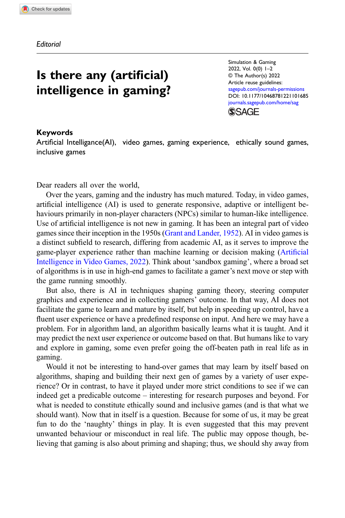**Editorial** 

## Is there any (artificial) intelligence in gaming?

Simulation & Gaming 2022, Vol. 0(0) 1–2 © The Author(s) 2022 Article reuse guidelines: [sagepub.com/journals-permissions](https://us.sagepub.com/en-us/journals-permissions) DOI: [10.1177/10468781221101685](https://doi.org/10.1177/10468781221101685) [journals.sagepub.com/home/sag](https://journals.sagepub.com/home/sag) **SSAGE** 

## Keywords

Artificial Intelligance(AI), video games, gaming experience, ethically sound games, inclusive games

Dear readers all over the world,

Over the years, gaming and the industry has much matured. Today, in video games, artificial intelligence (AI) is used to generate responsive, adaptive or intelligent behaviours primarily in non-player characters (NPCs) similar to human-like intelligence. Use of artificial intelligence is not new in gaming. It has been an integral part of video games since their inception in the 1950s [\(Grant and Lander, 1952\)](#page-1-0). AI in video games is a distinct subfield to research, differing from academic AI, as it serves to improve the game-player experience rather than machine learning or decision making ([Arti](#page-1-1)ficial [Intelligence in Video Games, 2022\)](#page-1-1). Think about 'sandbox gaming', where a broad set of algorithms is in use in high-end games to facilitate a gamer's next move or step with the game running smoothly.

But also, there is AI in techniques shaping gaming theory, steering computer graphics and experience and in collecting gamers' outcome. In that way, AI does not facilitate the game to learn and mature by itself, but help in speeding up control, have a fluent user experience or have a predefined response on input. And here we may have a problem. For in algorithm land, an algorithm basically learns what it is taught. And it may predict the next user experience or outcome based on that. But humans like to vary and explore in gaming, some even prefer going the off-beaten path in real life as in gaming.

Would it not be interesting to hand-over games that may learn by itself based on algorithms, shaping and building their next gen of games by a variety of user experience? Or in contrast, to have it played under more strict conditions to see if we can indeed get a predicable outcome – interesting for research purposes and beyond. For what is needed to constitute ethically sound and inclusive games (and is that what we should want). Now that in itself is a question. Because for some of us, it may be great fun to do the 'naughty' things in play. It is even suggested that this may prevent unwanted behaviour or misconduct in real life. The public may oppose though, believing that gaming is also about priming and shaping; thus, we should shy away from